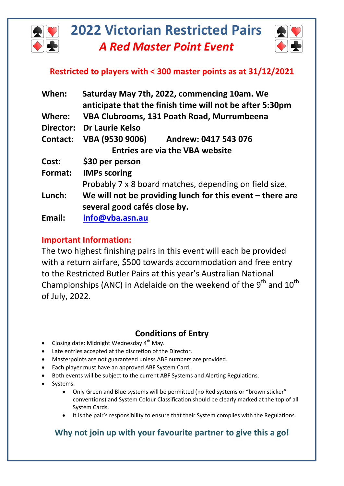



## **Restricted to players with < 300 master points as at 31/12/2021**

| When:     | Saturday May 7th, 2022, commencing 10am. We<br>anticipate that the finish time will not be after 5:30pm |
|-----------|---------------------------------------------------------------------------------------------------------|
| Where:    | VBA Clubrooms, 131 Poath Road, Murrumbeena                                                              |
| Director: | <b>Dr Laurie Kelso</b>                                                                                  |
| Contact:  | VBA (9530 9006)<br>Andrew: 0417 543 076                                                                 |
|           | <b>Entries are via the VBA website</b>                                                                  |
| Cost:     | \$30 per person                                                                                         |
| Format:   | <b>IMPs scoring</b>                                                                                     |
|           | <b>Probably 7 x 8 board matches, depending on field size.</b>                                           |
| Lunch:    | We will not be providing lunch for this event $-$ there are                                             |
|           | several good cafés close by.                                                                            |
| Email:    | info@vba.asn.au                                                                                         |

## **Important Information:**

The two highest finishing pairs in this event will each be provided with a return airfare, \$500 towards accommodation and free entry to the Restricted Butler Pairs at this year's Australian National Championships (ANC) in Adelaide on the weekend of the  $9<sup>th</sup>$  and  $10<sup>th</sup>$ of July, 2022.

## **Conditions of Entry**

- Closing date: Midnight Wednesday 4<sup>th</sup> May.
- Late entries accepted at the discretion of the Director.
- Masterpoints are not guaranteed unless ABF numbers are provided.
- Each player must have an approved ABF System Card.
- Both events will be subject to the current ABF Systems and Alerting Regulations.
- Systems:
	- Only Green and Blue systems will be permitted (no Red systems or "brown sticker" conventions) and System Colour Classification should be clearly marked at the top of all System Cards.
	- It is the pair's responsibility to ensure that their System complies with the Regulations.

## **Why not join up with your favourite partner to give this a go!**